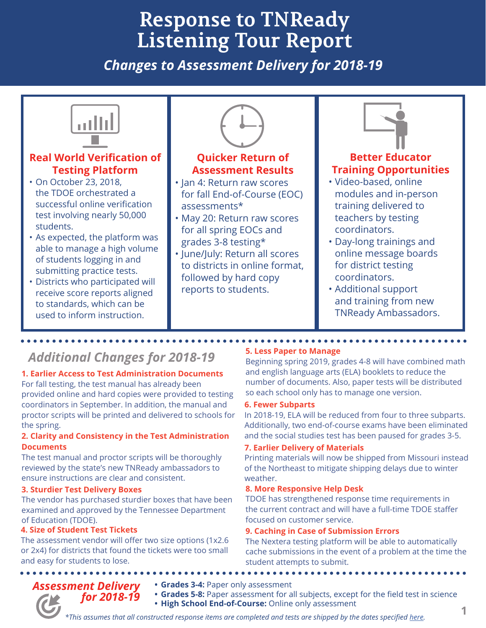# **Response to TNReady Listening Tour Report**

*Changes to Assessment Delivery for 2018-19*



## *Additional Changes for 2018-19*

#### **1. Earlier Access to Test Administration Documents**

For fall testing, the test manual has already been provided online and hard copies were provided to testing coordinators in September. In addition, the manual and proctor scripts will be printed and delivered to schools for the spring.

#### **2. Clarity and Consistency in the Test Administration Documents**

The test manual and proctor scripts will be thoroughly reviewed by the state's new TNReady ambassadors to ensure instructions are clear and consistent.

#### **3. Sturdier Test Delivery Boxes**

The vendor has purchased sturdier boxes that have been examined and approved by the Tennessee Department of Education (TDOE).

#### **4. Size of Student Test Tickets**

The assessment vendor will offer two size options (1x2.6 or 2x4) for districts that found the tickets were too small and easy for students to lose.

**5. Less Paper to Manage**

Beginning spring 2019, grades 4-8 will have combined math and english language arts (ELA) booklets to reduce the number of documents. Also, paper tests will be distributed so each school only has to manage one version.

#### **6. Fewer Subparts**

In 2018-19, ELA will be reduced from four to three subparts. Additionally, two end-of-course exams have been eliminated and the social studies test has been paused for grades 3-5.

#### **7. Earlier Delivery of Materials**

Printing materials will now be shipped from Missouri instead of the Northeast to mitigate shipping delays due to winter weather.

#### **8. More Responsive Help Desk**

TDOE has strengthened response time requirements in the current contract and will have a full-time TDOE staffer focused on customer service.

#### **9. Caching in Case of Submission Errors**

The Nextera testing platform will be able to automatically cache submissions in the event of a problem at the time the student attempts to submit.

*Assessment Delivery for 2018-19*

- **• Grades 3-4:** Paper only assessment
- **• Grades 5-8:** Paper assessment for all subjects, except for the field test in science
- **• High School End-of-Course:** Online only assessment